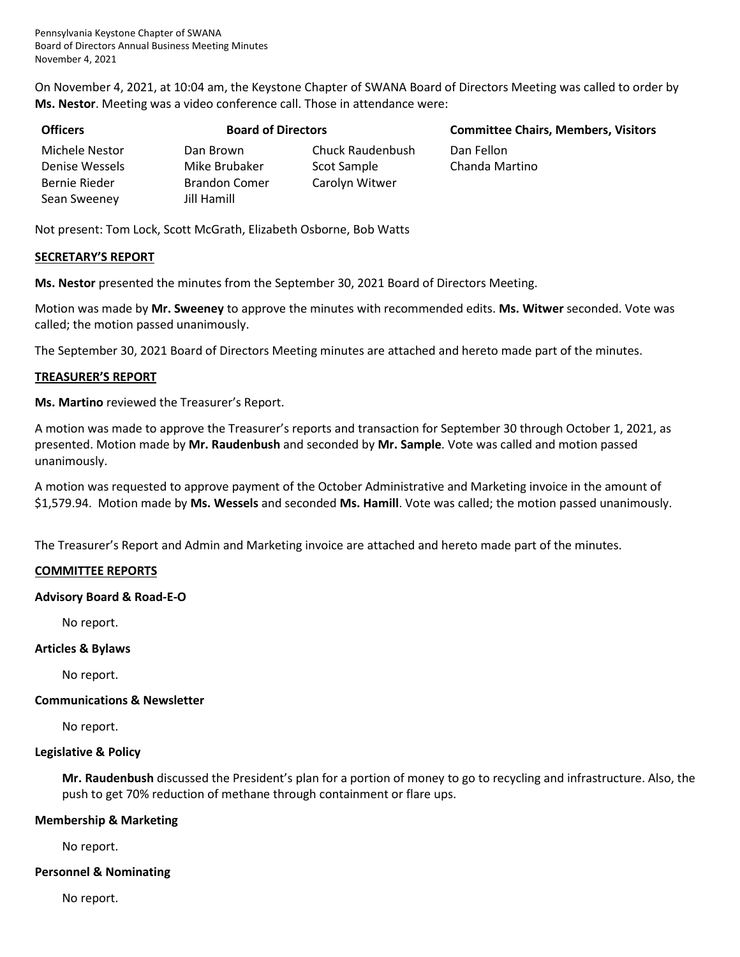Pennsylvania Keystone Chapter of SWANA Board of Directors Annual Business Meeting Minutes November 4, 2021

On November 4, 2021, at 10:04 am, the Keystone Chapter of SWANA Board of Directors Meeting was called to order by **Ms. Nestor**. Meeting was a video conference call. Those in attendance were:

| <b>Officers</b> | <b>Board of Directors</b> |                         | <b>Committe</b> |  |
|-----------------|---------------------------|-------------------------|-----------------|--|
| Michele Nestor  | Dan Brown                 | <b>Chuck Raudenbush</b> | Dan Fellon      |  |
| Denise Wessels  | Mike Brubaker             | Scot Sample             | Chanda Ma       |  |
| Bernie Rieder   | <b>Brandon Comer</b>      | Carolyn Witwer          |                 |  |
| Sean Sweeney    | Jill Hamill               |                         |                 |  |

**Committee Chairs, Members, Visitors** 

Chanda Martino

Not present: Tom Lock, Scott McGrath, Elizabeth Osborne, Bob Watts

#### **SECRETARY'S REPORT**

**Ms. Nestor** presented the minutes from the September 30, 2021 Board of Directors Meeting.

Motion was made by **Mr. Sweeney** to approve the minutes with recommended edits. **Ms. Witwer** seconded. Vote was called; the motion passed unanimously.

The September 30, 2021 Board of Directors Meeting minutes are attached and hereto made part of the minutes.

#### **TREASURER'S REPORT**

**Ms. Martino** reviewed the Treasurer's Report.

A motion was made to approve the Treasurer's reports and transaction for September 30 through October 1, 2021, as presented. Motion made by **Mr. Raudenbush** and seconded by **Mr. Sample**. Vote was called and motion passed unanimously.

A motion was requested to approve payment of the October Administrative and Marketing invoice in the amount of \$1,579.94. Motion made by **Ms. Wessels** and seconded **Ms. Hamill**. Vote was called; the motion passed unanimously.

The Treasurer's Report and Admin and Marketing invoice are attached and hereto made part of the minutes.

#### **COMMITTEE REPORTS**

#### **Advisory Board & Road-E-O**

No report.

#### **Articles & Bylaws**

No report.

#### **Communications & Newsletter**

No report.

#### **Legislative & Policy**

**Mr. Raudenbush** discussed the President's plan for a portion of money to go to recycling and infrastructure. Also, the push to get 70% reduction of methane through containment or flare ups.

#### **Membership & Marketing**

No report.

#### **Personnel & Nominating**

No report.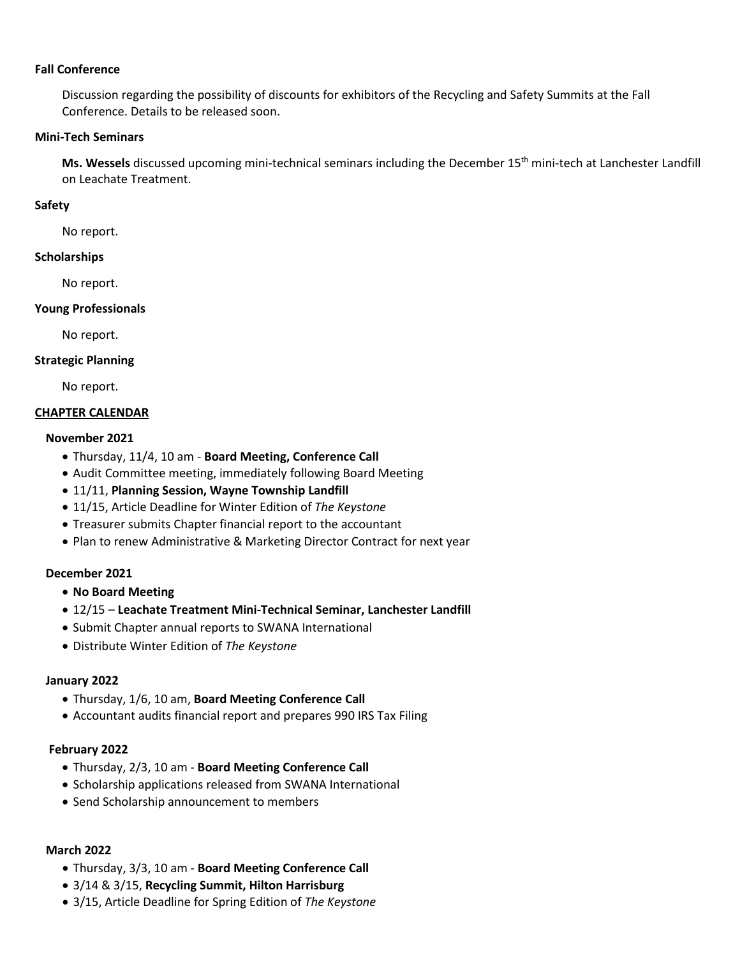#### **Fall Conference**

Discussion regarding the possibility of discounts for exhibitors of the Recycling and Safety Summits at the Fall Conference. Details to be released soon.

#### **Mini-Tech Seminars**

Ms. Wessels discussed upcoming mini-technical seminars including the December 15<sup>th</sup> mini-tech at Lanchester Landfill on Leachate Treatment.

#### **Safety**

No report.

#### **Scholarships**

No report.

#### **Young Professionals**

No report.

#### **Strategic Planning**

No report.

#### **CHAPTER CALENDAR**

#### **November 2021**

- Thursday, 11/4, 10 am **Board Meeting, Conference Call**
- Audit Committee meeting, immediately following Board Meeting
- 11/11, **Planning Session, Wayne Township Landfill**
- 11/15, Article Deadline for Winter Edition of *The Keystone*
- Treasurer submits Chapter financial report to the accountant
- Plan to renew Administrative & Marketing Director Contract for next year

#### **December 2021**

- **No Board Meeting**
- 12/15 **Leachate Treatment Mini-Technical Seminar, Lanchester Landfill**
- Submit Chapter annual reports to SWANA International
- Distribute Winter Edition of *The Keystone*

#### **January 2022**

- Thursday, 1/6, 10 am, **Board Meeting Conference Call**
- Accountant audits financial report and prepares 990 IRS Tax Filing

#### **February 2022**

- Thursday, 2/3, 10 am **Board Meeting Conference Call**
- Scholarship applications released from SWANA International
- Send Scholarship announcement to members

## **March 2022**

- Thursday, 3/3, 10 am **Board Meeting Conference Call**
- 3/14 & 3/15, **Recycling Summit, Hilton Harrisburg**
- 3/15, Article Deadline for Spring Edition of *The Keystone*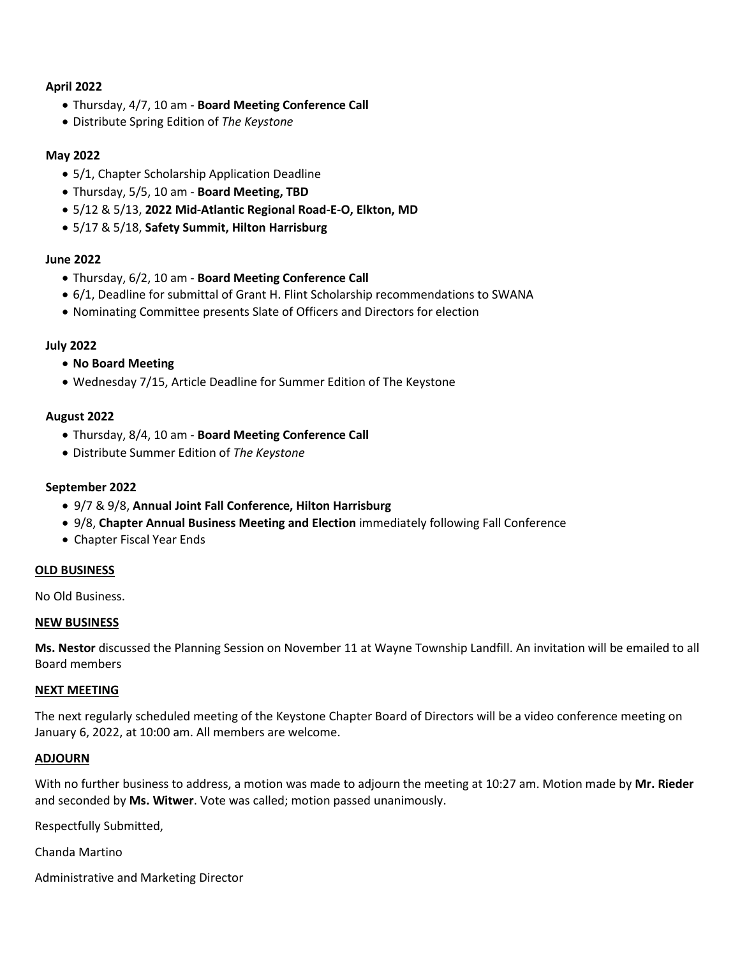#### **April 2022**

- Thursday, 4/7, 10 am **Board Meeting Conference Call**
- Distribute Spring Edition of *The Keystone*

#### **May 2022**

- 5/1, Chapter Scholarship Application Deadline
- Thursday, 5/5, 10 am **Board Meeting, TBD**
- 5/12 & 5/13, **2022 Mid-Atlantic Regional Road-E-O, Elkton, MD**
- 5/17 & 5/18, **Safety Summit, Hilton Harrisburg**

#### **June 2022**

- Thursday, 6/2, 10 am **Board Meeting Conference Call**
- 6/1, Deadline for submittal of Grant H. Flint Scholarship recommendations to SWANA
- Nominating Committee presents Slate of Officers and Directors for election

### **July 2022**

- **No Board Meeting**
- Wednesday 7/15, Article Deadline for Summer Edition of The Keystone

#### **August 2022**

- Thursday, 8/4, 10 am **Board Meeting Conference Call**
- Distribute Summer Edition of *The Keystone*

#### **September 2022**

- 9/7 & 9/8, **Annual Joint Fall Conference, Hilton Harrisburg**
- 9/8, **Chapter Annual Business Meeting and Election** immediately following Fall Conference
- Chapter Fiscal Year Ends

#### **OLD BUSINESS**

No Old Business.

#### **NEW BUSINESS**

**Ms. Nestor** discussed the Planning Session on November 11 at Wayne Township Landfill. An invitation will be emailed to all Board members

#### **NEXT MEETING**

The next regularly scheduled meeting of the Keystone Chapter Board of Directors will be a video conference meeting on January 6, 2022, at 10:00 am. All members are welcome.

#### **ADJOURN**

With no further business to address, a motion was made to adjourn the meeting at 10:27 am. Motion made by **Mr. Rieder** and seconded by **Ms. Witwer**. Vote was called; motion passed unanimously.

Respectfully Submitted,

Chanda Martino

Administrative and Marketing Director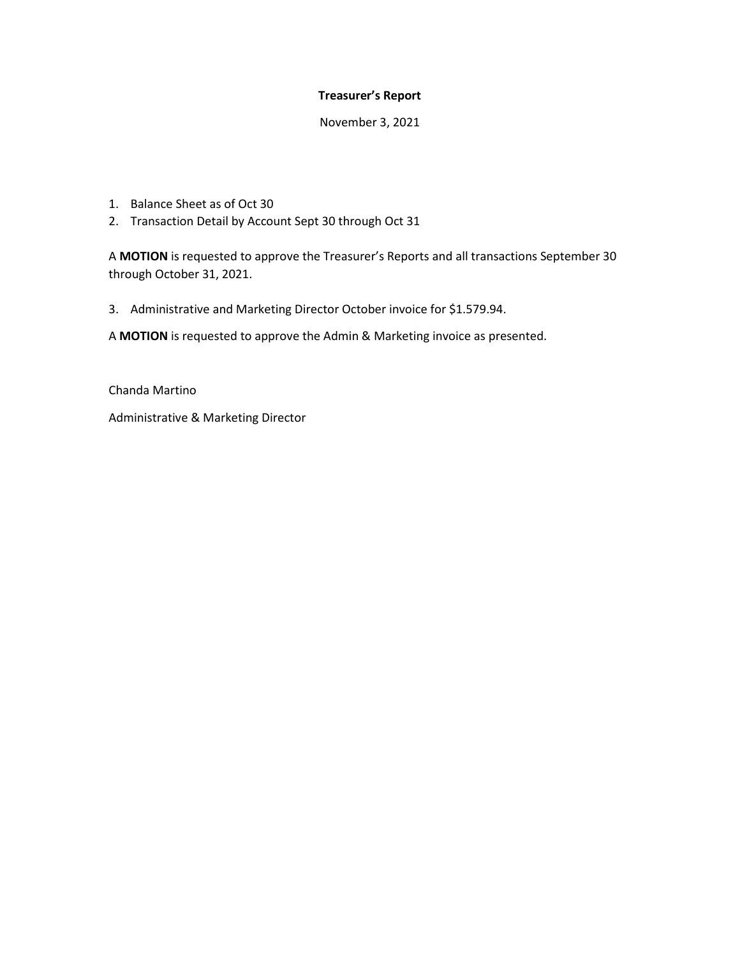#### **Treasurer's Report**

November 3, 2021

- 1. Balance Sheet as of Oct 30
- 2. Transaction Detail by Account Sept 30 through Oct 31

A **MOTION** is requested to approve the Treasurer's Reports and all transactions September 30 through October 31, 2021.

3. Administrative and Marketing Director October invoice for \$1.579.94.

A **MOTION** is requested to approve the Admin & Marketing invoice as presented.

Chanda Martino

Administrative & Marketing Director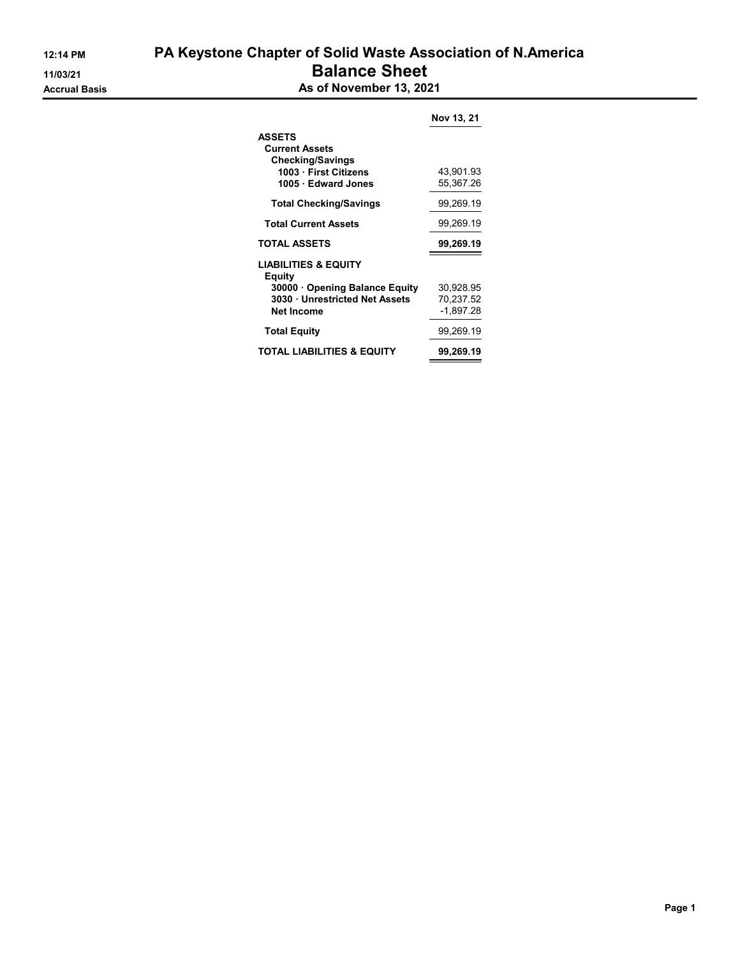|                                           | Nov 13, 21 |  |  |
|-------------------------------------------|------------|--|--|
| <b>ASSETS</b>                             |            |  |  |
| <b>Current Assets</b>                     |            |  |  |
| <b>Checking/Savings</b>                   |            |  |  |
| 1003 · First Citizens                     | 43,901.93  |  |  |
| 1005 · Edward Jones                       | 55,367.26  |  |  |
| <b>Total Checking/Savings</b>             | 99,269.19  |  |  |
| <b>Total Current Assets</b>               | 99,269.19  |  |  |
| <b>TOTAL ASSETS</b>                       | 99,269.19  |  |  |
| <b>LIABILITIES &amp; EQUITY</b><br>Equity |            |  |  |
| 30000 Opening Balance Equity              | 30,928.95  |  |  |
| 3030 Unrestricted Net Assets              | 70,237.52  |  |  |
| <b>Net Income</b>                         | -1,897.28  |  |  |
| <b>Total Equity</b>                       | 99,269.19  |  |  |
| TOTAL LIABILITIES & EQUITY                | 99,269.19  |  |  |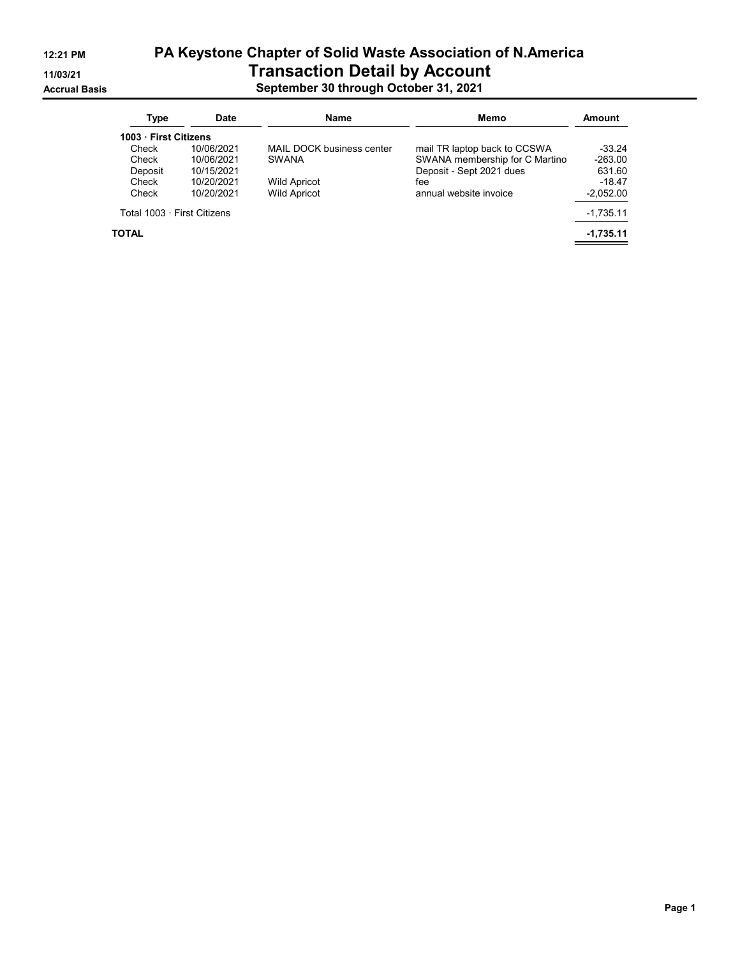# 12:21 PM PA Keystone Chapter of Solid Waste Association of N.America 11/03/21 Transaction Detail by Account Accrual Basis September 30 through October 31, 2021

| Type                        | <b>Date</b> | Name                      | Memo                           |             |
|-----------------------------|-------------|---------------------------|--------------------------------|-------------|
| 1003 First Citizens         |             |                           |                                |             |
| Check                       | 10/06/2021  | MAIL DOCK business center | mail TR laptop back to CCSWA   | $-33.24$    |
| Check                       | 10/06/2021  | <b>SWANA</b>              | SWANA membership for C Martino | $-263.00$   |
| Deposit                     | 10/15/2021  |                           | Deposit - Sept 2021 dues       | 631.60      |
| Check                       | 10/20/2021  | <b>Wild Apricot</b>       | fee                            | $-18.47$    |
| Check                       | 10/20/2021  | <b>Wild Apricot</b>       | annual website invoice         | $-2,052.00$ |
| Total 1003 · First Citizens |             |                           |                                | $-1,735.11$ |
| TOTAL                       |             |                           |                                | $-1,735.11$ |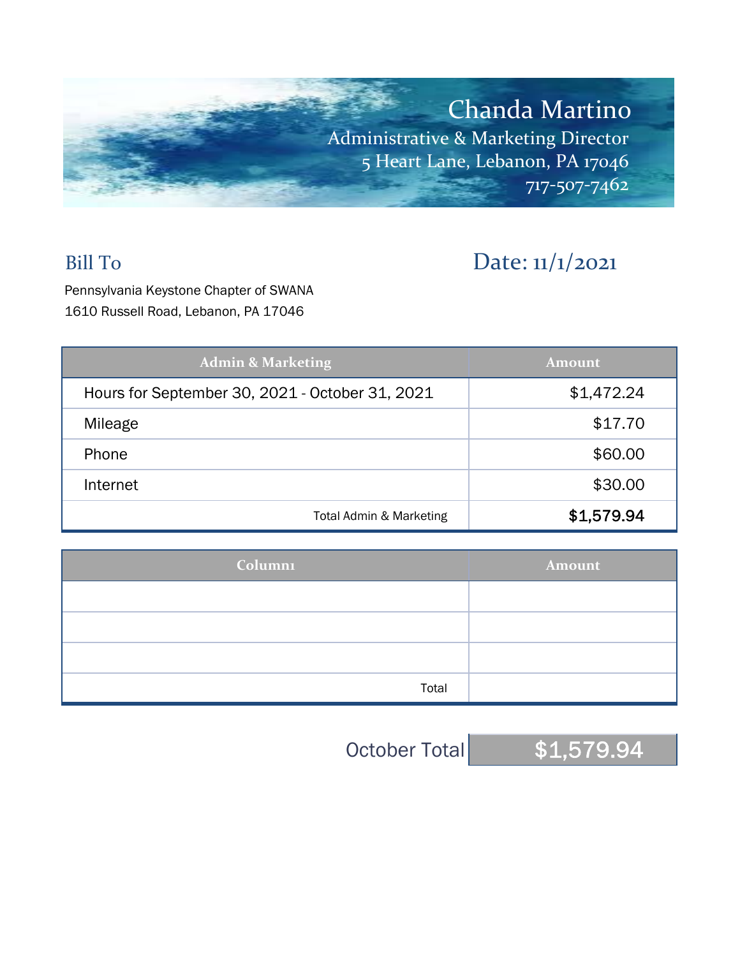

# Bill To Date: 11/1/2021

Pennsylvania Keystone Chapter of SWANA 1610 Russell Road, Lebanon, PA 17046

| <b>Admin &amp; Marketing</b>                    | <b>Amount</b> |  |  |
|-------------------------------------------------|---------------|--|--|
| Hours for September 30, 2021 - October 31, 2021 | \$1,472.24    |  |  |
| Mileage                                         | \$17.70       |  |  |
| Phone                                           | \$60.00       |  |  |
| Internet                                        | \$30.00       |  |  |
| Total Admin & Marketing                         | \$1,579.94    |  |  |

| <b>Column1</b> | Amount |  |  |  |
|----------------|--------|--|--|--|
|                |        |  |  |  |
|                |        |  |  |  |
|                |        |  |  |  |
| Total          |        |  |  |  |

October Total \$1,579.94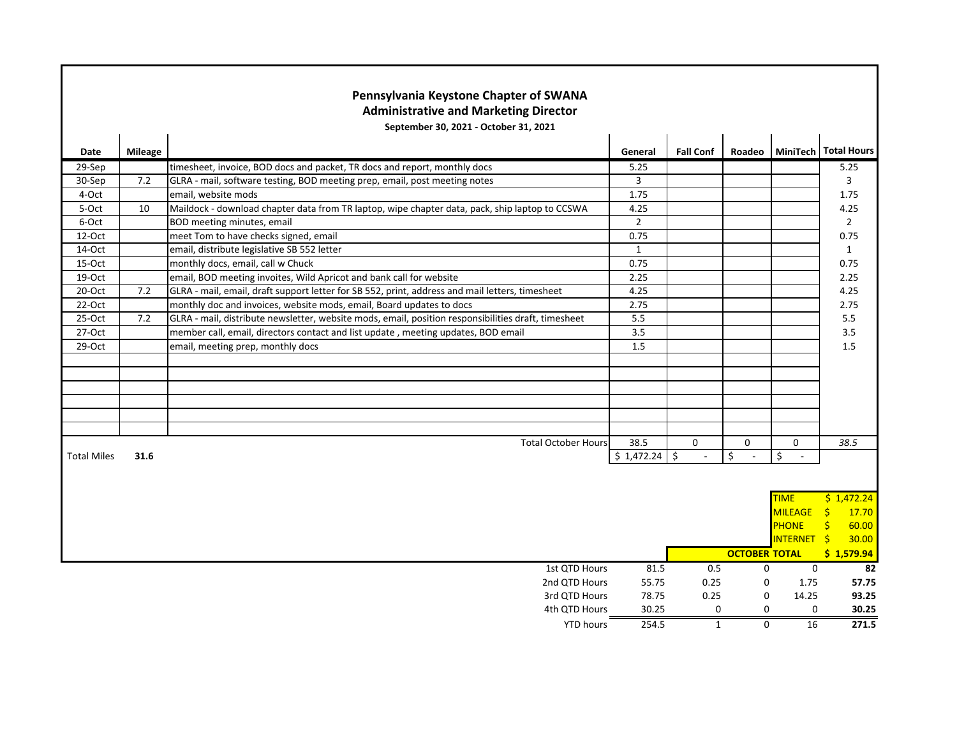|                    |                | Pennsylvania Keystone Chapter of SWANA<br><b>Administrative and Marketing Director</b>              |                  |                                       |                      |                        |                        |
|--------------------|----------------|-----------------------------------------------------------------------------------------------------|------------------|---------------------------------------|----------------------|------------------------|------------------------|
|                    |                | September 30, 2021 - October 31, 2021                                                               |                  |                                       |                      |                        |                        |
| Date               | <b>Mileage</b> |                                                                                                     | General          | <b>Fall Conf</b>                      | Roadeo               |                        | MiniTech Total Hours   |
| 29-Sep             |                | timesheet, invoice, BOD docs and packet, TR docs and report, monthly docs                           | 5.25             |                                       |                      |                        | 5.25                   |
| 30-Sep             | 7.2            | GLRA - mail, software testing, BOD meeting prep, email, post meeting notes                          | 3                |                                       |                      |                        | 3                      |
| 4-Oct              |                | email, website mods                                                                                 | 1.75             |                                       |                      |                        | 1.75                   |
| 5-Oct              | 10             | Maildock - download chapter data from TR laptop, wipe chapter data, pack, ship laptop to CCSWA      | 4.25             |                                       |                      |                        | 4.25                   |
| 6-Oct              |                | BOD meeting minutes, email                                                                          | $\overline{2}$   |                                       |                      |                        | $\overline{2}$         |
| 12-Oct             |                | meet Tom to have checks signed, email                                                               | 0.75             |                                       |                      |                        | 0.75                   |
| 14-Oct             |                | email, distribute legislative SB 552 letter                                                         | $\mathbf{1}$     |                                       |                      |                        | $\mathbf{1}$           |
| 15-Oct             |                | monthly docs, email, call w Chuck                                                                   | 0.75             |                                       |                      |                        | 0.75                   |
| 19-Oct             |                | email, BOD meeting invoites, Wild Apricot and bank call for website                                 | 2.25             |                                       |                      |                        | 2.25                   |
| 20-Oct             | 7.2            | GLRA - mail, email, draft support letter for SB 552, print, address and mail letters, timesheet     | 4.25             |                                       |                      |                        | 4.25                   |
| $22-Oct$           |                | monthly doc and invoices, website mods, email, Board updates to docs                                | 2.75             |                                       |                      |                        | 2.75                   |
| 25-Oct             | 7.2            | GLRA - mail, distribute newsletter, website mods, email, position responsibilities draft, timesheet | 5.5              |                                       |                      |                        | 5.5                    |
| 27-Oct             |                | member call, email, directors contact and list update, meeting updates, BOD email                   | $\overline{3.5}$ |                                       |                      |                        | 3.5                    |
| 29-Oct             |                | email, meeting prep, monthly docs                                                                   | 1.5              |                                       |                      |                        | 1.5                    |
|                    |                |                                                                                                     |                  |                                       |                      |                        |                        |
|                    |                |                                                                                                     |                  |                                       |                      |                        |                        |
|                    |                |                                                                                                     |                  |                                       |                      |                        |                        |
|                    |                |                                                                                                     |                  |                                       |                      |                        |                        |
|                    |                |                                                                                                     |                  |                                       |                      |                        |                        |
|                    |                |                                                                                                     |                  |                                       |                      |                        |                        |
|                    |                | <b>Total October Hours</b>                                                                          | 38.5             | 0                                     | $\mathbf 0$          | 0                      | 38.5                   |
| <b>Total Miles</b> | 31.6           |                                                                                                     | \$1,472.24       | $\ddot{\mathsf{S}}$<br>$\overline{a}$ | \$                   | \$                     |                        |
|                    |                |                                                                                                     |                  |                                       |                      |                        |                        |
|                    |                |                                                                                                     |                  |                                       |                      |                        |                        |
|                    |                |                                                                                                     |                  |                                       |                      | <b>TIME</b>            | \$1,472.24             |
|                    |                |                                                                                                     |                  |                                       |                      | <b>MILEAGE</b>         | $\frac{1}{2}$<br>17.70 |
|                    |                |                                                                                                     |                  |                                       |                      | <b>PHONE</b>           | $\frac{1}{2}$<br>60.00 |
|                    |                |                                                                                                     |                  |                                       |                      | INTERNET <sub>\$</sub> | 30.00                  |
|                    |                |                                                                                                     |                  |                                       | <b>OCTOBER TOTAL</b> |                        | \$1,579.94             |
|                    |                | 1st QTD Hours                                                                                       | 81.5             | 0.5                                   | 0                    | 0                      | 82                     |
|                    |                | 2nd QTD Hours                                                                                       | 55.75            | 0.25                                  | 0                    | 1.75                   | 57.75                  |
|                    |                | 3rd QTD Hours                                                                                       | 78.75            | 0.25                                  | 0                    | 14.25                  | 93.25                  |
|                    |                | 4th QTD Hours                                                                                       | 30.25            | 0                                     | $\mathbf 0$          | 0                      | 30.25                  |
|                    |                | <b>YTD hours</b>                                                                                    | 254.5            | $\mathbf{1}$                          | $\Omega$             | 16                     | 271.5                  |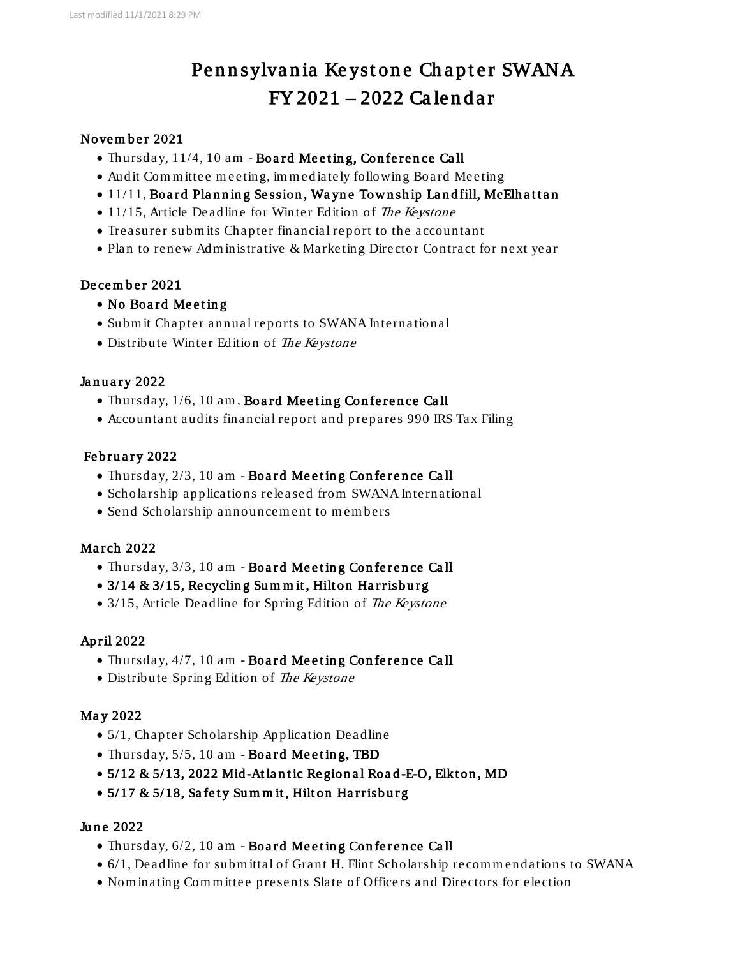# Pennsylvania Keystone Chapter SWANA FY 2021 – 2022 Ca le n d a r

## Novem ber 2021

- Thursday, 11/4, 10 am Board Meeting, Conference Call
- Audit Com m ittee m eeting, im m ediately following Board Meeting
- 11/11, Board Planning Session, Wayne Township Landfill, McElhattan
- 11/15, Article Deadline for Winter Edition of The Keystone
- Treasurer subm its Chapter financial report to the accountant
- Plan to renew Administrative & Marketing Director Contract for next year

### Decem ber 2021

- No Board Meeting
- Subm it Chapter annual reports to SWANA International
- Distribute Winter Edition of The Keystone

# January 2022

- Thursday, 1/6, 10 am, Board Meeting Conference Call
- Accountant audits financial report and prepares 990 IRS Tax Filing

# February 2022

- Thursday, 2/3, 10 am Board Meeting Conference Call
- Scholarship applications released from SWANA International
- Send Scholarship announcement to members

# March 2022

- Thursday, 3/3, 10 am Board Meeting Conference Call
- $\bullet$  3/14 & 3/15, Recycling Summit, Hilton Harrisburg
- 3/15, Article Deadline for Spring Edition of The Keystone

# Ap ril 2022

- Thursday, 4/7, 10 am Board Meeting Conference Call
- Distribute Spring Edition of The Keystone

# May 2022

- 5/1, Chapter Scholarship Application Deadline
- Thursday,  $5/5$ , 10 am Board Meeting, TBD
- $5/12 \& 5/13$ , 2022 Mid-Atlantic Regional Road-E-O, Elkton, MD
- 5/17 & 5/18, Safety Summit, Hilton Harrisburg

#### June 2022

- Thursday,  $6/2$ , 10 am Board Meeting Conference Call
- 6/1, Deadline for submittal of Grant H. Flint Scholarship recommendations to SWANA
- Nom inating Com m ittee presents Slate of Officers and Directors for election